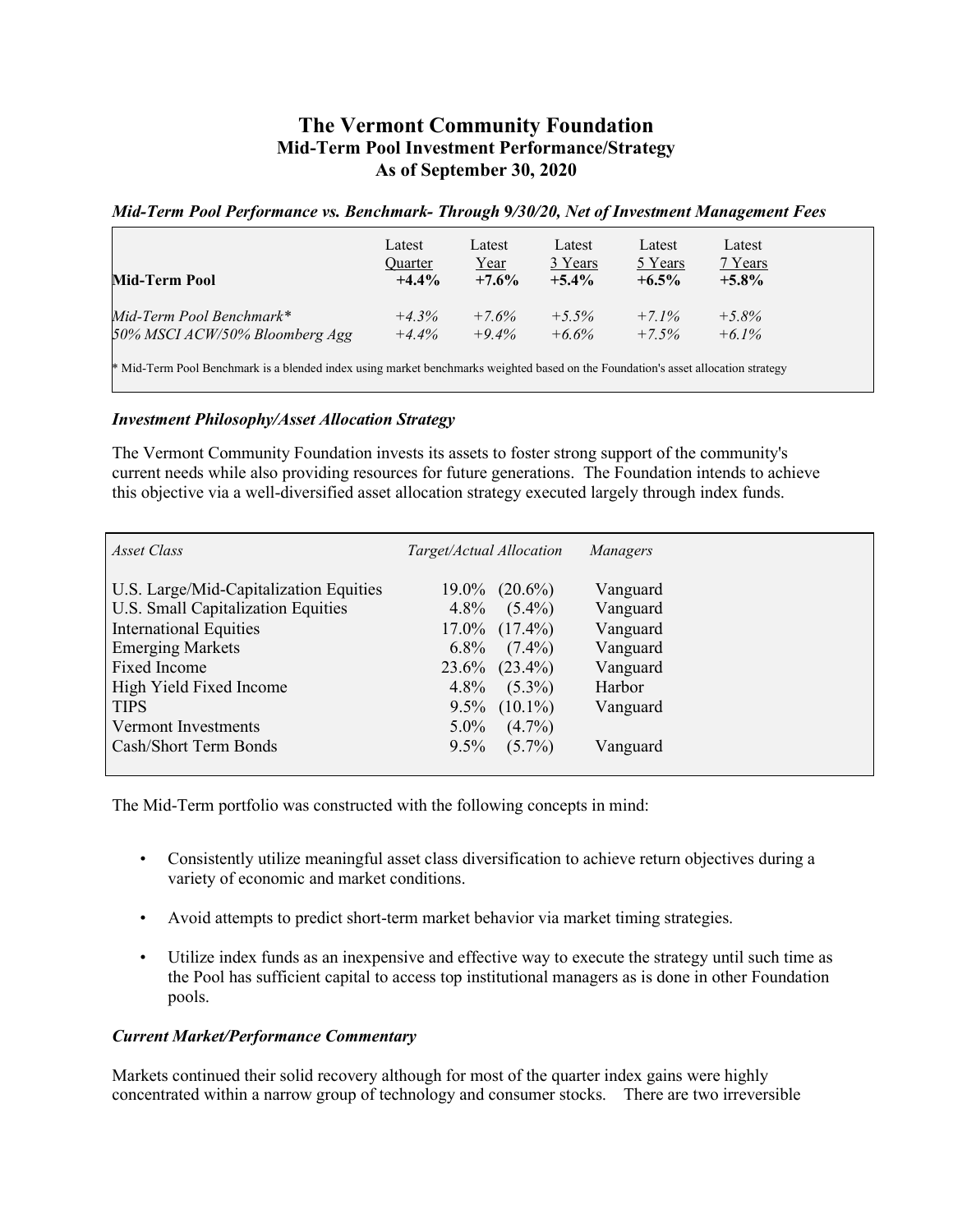## **The Vermont Community Foundation Mid-Term Pool Investment Performance/Strategy As of September 30, 2020**

## *Mid-Term Pool Performance vs. Benchmark- Through* **9***/30/20, Net of Investment Management Fees*

| Mid-Term Pool                                                                                                                     | Latest<br>Quarter<br>$+4.4%$ | Latest<br>Year<br>$+7.6%$ | Latest<br>3 Years<br>$+5.4\%$ | Latest<br>5 Years<br>$+6.5\%$ | Latest<br>7 Years<br>$+5.8\%$ |
|-----------------------------------------------------------------------------------------------------------------------------------|------------------------------|---------------------------|-------------------------------|-------------------------------|-------------------------------|
| Mid-Term Pool Benchmark*                                                                                                          | $+4.3%$                      | $+7.6%$                   | $+5.5\%$                      | $+7.1\%$                      | $+5.8%$                       |
| 50% MSCI ACW/50% Bloomberg Agg                                                                                                    | $+4.4%$                      | $+9.4\%$                  | $+6.6\%$                      | $+7.5%$                       | $+6.1\%$                      |
| * Mid-Term Pool Benchmark is a blended index using market benchmarks weighted based on the Foundation's asset allocation strategy |                              |                           |                               |                               |                               |

## *Investment Philosophy/Asset Allocation Strategy*

The Vermont Community Foundation invests its assets to foster strong support of the community's current needs while also providing resources for future generations. The Foundation intends to achieve this objective via a well-diversified asset allocation strategy executed largely through index funds.

| Asset Class                            | Target/Actual Allocation | Managers |
|----------------------------------------|--------------------------|----------|
| U.S. Large/Mid-Capitalization Equities | $19.0\%$ $(20.6\%)$      | Vanguard |
| U.S. Small Capitalization Equities     | $4.8\%$ $(5.4\%)$        | Vanguard |
| <b>International Equities</b>          | $17.0\%$ $(17.4\%)$      | Vanguard |
| <b>Emerging Markets</b>                | $6.8\%$ $(7.4\%)$        | Vanguard |
| Fixed Income                           | $23.6\%$ $(23.4\%)$      | Vanguard |
| High Yield Fixed Income                | $4.8\%$<br>$(5.3\%)$     | Harbor   |
| <b>TIPS</b>                            | $9.5\%$ $(10.1\%)$       | Vanguard |
| Vermont Investments                    | $5.0\%$<br>$(4.7\%)$     |          |
| Cash/Short Term Bonds                  | $(5.7\%)$<br>$9.5\%$     | Vanguard |
|                                        |                          |          |

The Mid-Term portfolio was constructed with the following concepts in mind:

- Consistently utilize meaningful asset class diversification to achieve return objectives during a variety of economic and market conditions.
- Avoid attempts to predict short-term market behavior via market timing strategies.
- Utilize index funds as an inexpensive and effective way to execute the strategy until such time as the Pool has sufficient capital to access top institutional managers as is done in other Foundation pools.

## *Current Market/Performance Commentary*

Markets continued their solid recovery although for most of the quarter index gains were highly concentrated within a narrow group of technology and consumer stocks. There are two irreversible